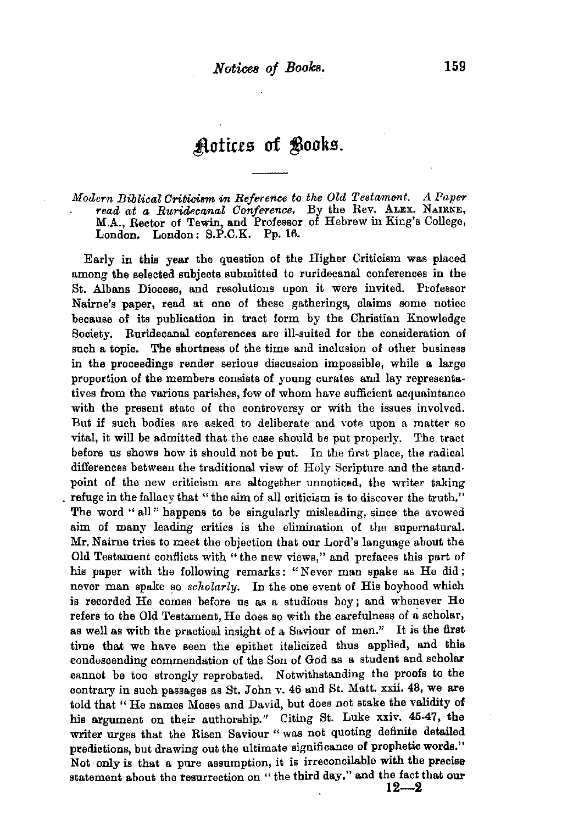## ~totias **of** ~ooks.

### *Modern Biblical Criticism* in *Reference to the Old Testament. A Paper* . *read at a Ruridecanal Conference.* By the Rev. ALEX. NAIRNE, M.A., Rector of Tewin, and Professor of Hebrew in King's College, London. London: S.P.C.K. Pp. 16.

Early in this year the question of the Higher Criticism was placed among the selected subjects submitted to ruridecanal conferences in the St. Albans Diocese, and resolutions upon it were invited. Professor Nairne's paper, read at one of these gatherings, claims some notice because of its publication in tract form by the Christian Knowledge Society. Ruridecanal conferences are ill-suited for the consideration of such a topic. The shortness of the time and inclusion of other business in the proceedings render serious discussion impossible, while a large proportion of the members consists of young curates and lay representatives from the various parishes, few of whom have sufficient acquaintance with the present state of the controversy or with the issues involved. But if such bodies are asked to deliberate and vote upon a matter so vital, it will be admitted that the ease should be put properly. The tract before us shows how it should not be put. In the first place, the radical differences between the traditional view of Holy Scripture and the stand· point of the new criticism are altogether unnoticed, the writer taking . refuge in the fallacy that "the aim of all criticism is to discover the truth." The word "all" happens to be singularly misleading, since the avowed aim of many leading critics is the elimination of the supernatural. Mr. Nairne tries to meet the objection that our Lord's language about the Old Testament conflicts with "the new views," and prefaces this part of his paper with the following remarks: "Never man spake as He did; never man spake so *scholarly.* In the one event of His boyhood which is recorded He comes before us as a studious boy; and whenever He refers to the Old Testament, He does so with the carefulness of a scholar, as well as with the practical insight of a Saviour of men." It is the first time that we have seen the epithet italicized thus applied, and this condescending commendation of the Son of God as a student and scholar cannot be too strongly reprobated. Notwithstanding the proofs to the contrary in such passages as St. John v. 46 and St. Matt. xxii. 48, we are told that "He names Moses and David, but does not stake the validity of his argument on their authorship." Citing St. Luke xxiv. 45-47, the writer urges that the Risen Saviour " was not quoting definite detailed predictions, but drawing out the ultimate significance of prophetic words." Not only is that a pure assumption, it is irreconcilable with the precise statement about the resurrection on "the third day," and the fact that our **12-2**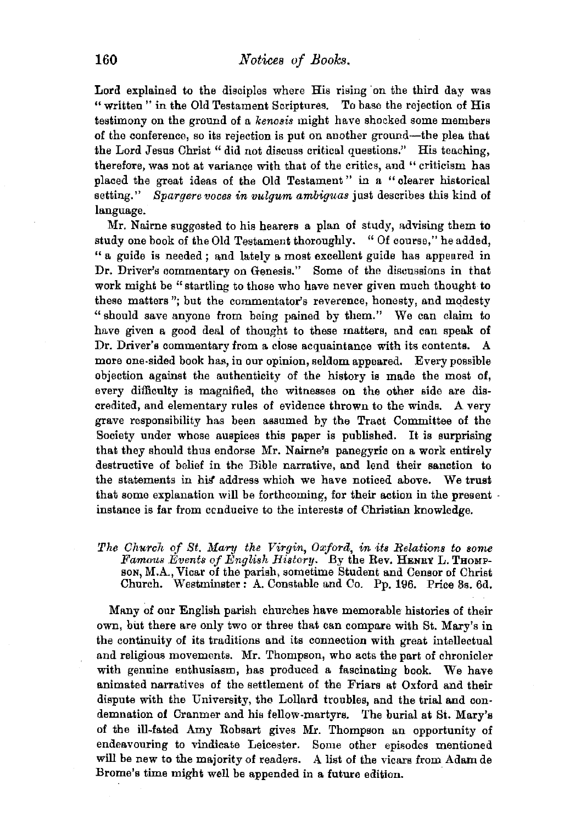Lord explained to the disciples where His rising 'on the third day was "written " in the Old Testament Scriptures. To base the rejection of His testimony on the ground of a *kenosis* might have shocked some members of the conference, so its rejection is put on another ground-the plea that the Lord Jesus Christ "did not discuss critical questions.'' His teaching, therefore, was not at variance with that of the critics, and " criticism has placed the great ideas of the Old Testament " in a " clearer historical setting." *Spargere vooes in vulgum ambiguas* just describes this kind of language.

Mr. Nairne suggested to his hearers a plan of study, advising them to study one book of the Old Testament thoroughly. "Of course," he added, " a guide is needed ; and lately a most excellent guide has appeared in Dr. Driver's commentary on Genesis." Some of the discussions in that work might be "startling to those who have never given much thought to these matters"; but the commentator's reverence, honesty, and modesty "should save anyone from being pained by them." We can claim to have given a good deal of thought to these matters, and can speak of Dr. Driver's commentary from a. close acquaintance with its contents. A more one-sided book has, in our opinion, seldom appeared. Every possible objection against the authenticity of the history is made the most of, every difficulty is magnified, the witnesses on the other side are discredited, and elementary rules of evidence thrown to the winds. A very grave responsibility has been assumed by the Tract Committee of the Society under whose auspices this paper is published. It is surprising that they should thus endorse Mr. Nairne's panegyric on a work entirely destructive of belief in the Bible narrative, and lend their sanction to the statements in his address which we have noticed above. We trust that some explanation will be forthcoming, for their action in the present · instance is far from ccnducive to the interests of Christian knowledge.

*The Church of St.* Mary *the Virgin, Oxford, in its Relations to some Famous Events of English History.* By the Rev. HENRY L. THOMPson, M.A., Vicar of the parish, sometime Student and Censor of Christ Church. Westminster: A. Constable and Co. Pp. 196. Price 3s. 6d.

Many of our English parish churches have memorable histories of their own, but there are only two or three that can compare with St. Mary's in the continuity of its traditions and its connection with great intellectual and religious movements. Mr. Thompson, who acts the part of chronicler with genuine enthusiasm, has produced a fascinating book. We have animated narratives of the settlement of the Friars at Oxford and their dispute with the University, the Lollard troubles, and the trial and condemnation of Cranmer and his fellow-martyrs. The burial at St. Mary's of the ill-fated Amy Robsart gives Mr. Thompson an opportunity of endeavouring to vindicate Leicester. Some other episodes mentioned will be new to the majority of readers. A list of the vicars from Adam de Brome's time might well be appended in a future edition.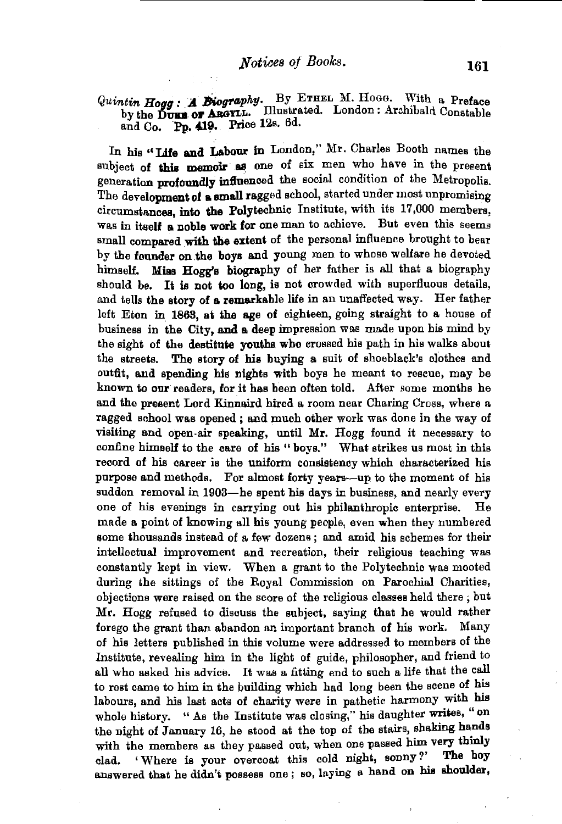# *Quintin Hogg : A Biography.* By ETHEL M. Hogg. With a Preface by the Duus of ABGYLL. Illustrated. London : Archibald Constable and Co. Pp. 419. Price 12s. 6d.

In his "Life and Labour in London," Mr. Charles Booth names the subject of this memoir as one of six men who have in the present generation profoundly influenced the social condition of the Metropolis. The development of a small ragged school, started under most unpromising circumstances, into the Polytechnic Institute, with its 17,000 members, was in itself a noble work for one man to achieve. But even this seems small compared with the extent of the personal influence brought to bear by the founder on.the boys and young men to whose welfare he devoted himself. Miss Hogg's biography of her father is all that a biography should be. It is not too long, is not crowded with superfluous details. and tells the story of a remarkable life in an unaffected way. Her father left Eton in. 1868, at the age of eighteen, going straight to a house of business in the City, and a deep impression was made upon his mind by the sight of the destitute youths who crossed his path in his walks about the streets. The story of his buying a suit of shoeblack's clothes and outfit, and spending his nights with boys he meant to rescue, may he known to our readers, for it has been often told. After some months he and the present Lord Kinnaird hired a room near Charing Cross, where a ragged school was opened ; and much other work was done in the way of visiting and open-air speaking, until Mr. Hogg found it necessary to confine himself to the care of his " boys." What strikes us most in this record of his career is the uniform consistency which characterized his purpose and methods. For almost forty years--up to the moment of his sudden removal in 1903-he spent his days in business, and nearly every one of his evenings in carrying out his philanthropic enterprise. He made a point of knowing all his young people, even when they numbered some thousands instead of a few dozens ; and amid his schemes for their intellectual improvement and recreation, their religious teaching was constantly kept in view. When a grant to the Polytechnic was mooted during the sittings of the Royal Commission on Parochial Charities, objections were raised on the score of the religious classes held there ; but Mr. Hogg refused to discuss the subject, saying that he would rather forego the grant than abandon an important branch of his work. Many of his letters published in this volume were addressed to members of the Institute, revealing him in the light of guide, philosopher, and friend to all who asked his advice. It was a fitting end to such a life that the call to rest came to him in the building which had long been the scene of his labours, and his last acts of charity were in pathetic harmony with his whole history. "As the Institute was closing," his daughter writes, "on the night of January 16, he stood at the top of the stairs, shaking hands with the members as they passed out, when one passed him very thinly clad. ' Where is your overcoat this cold night, sonny?' The boy answered that he didn't possess one ; so, laying a hand on his shoulder,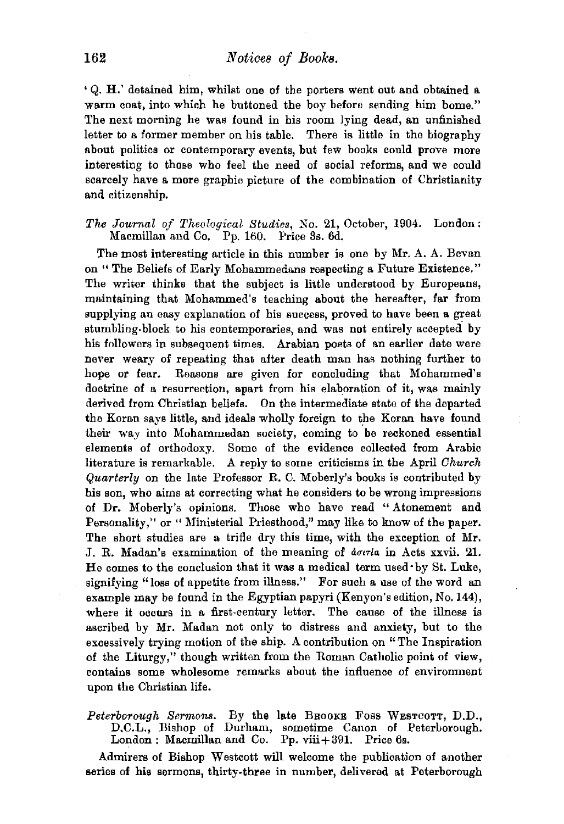' Q. H.' detained him, whilst one of the porters went out and obtained a. warm coat, into which he buttoned the boy before sending him home." The next morning he was found in his room lying dead, an unfinished letter to a former member on his table. There is little in the biography about politics or contemporary events, but few books could prove more interesting to those who feel the need of social reforms, and we could scarcely have a more graphic picture of the combination of Christianity and citizenship.

### *The Journal of Theological Studies, No. 21, October, 1904. London:* Macmillan and Co. Pp. 160. Price 3s. 6d.

The most interesting article in this number is one by Mr. A. A. Bevan on " The Beliefs of Early Mohammedans respecting a Future Existence." The writer thinks that the subject is little understood by Europeans, maintaining that Mohammed's teaching about the hereafter, far from supplying an easy explanation of his success, proved to have been a great stumbling-block to his contemporaries, and was not entirely accepted by his followers in subsequent times. Arabian poets of an earlier date were never weary of repeating that after death man has nothing further to hope or fear. Reasons are given for concluding that Mohammed's doctrine of a resurrection, apart from his elaboration of it, was mainly derived from Christian beliefs. On the intermediate state of the departed the Koran says little, and ideals wholly foreign to the Koran have found their way into Mohammedan society, coming to be reckoned essential elements of orthodoxy. Some of the evidence collected from Arabic literature is remarkable. A reply to some criticisms in the April *Church Quwrterly* on the late Professor R. C. Moberly's books is contributed by his son, who aims at correcting what he considers to be wrong impressions of Dr. Moberly's opinions. Those who have read "Atonement and Personality," or "Ministerial Priesthood," may like to know of the paper. The short studies are a trifle dry this time, with the exception of Mr. J. R. Madan's examination of the meaning of *aouria* in Acts xxvii. 21. He comes to the conclusion that it was a medical term used· by St. Luke, signifying "loss of appetite from illness." For such a use of the word an example may be found in the Egyptian papyri (Kenyon's edition, No.144), where it occurs in a first-century letter. The cause of the illness is ascribed by Mr. Madan not only to distress and anxiety, but to the excessively trying motion of the ship. A contribution on "The Inspiration of the Liturgy," though written from the Roman Catholic point of view, contains some wholesome remarks about the influence of environment upon the Christian life.

### *Peterborough Sermom.* By the late BROOKE Foss WESTCOTT, D.D., D.C.L., Bishop of Durham, sometime Canon of Peterborough. London: Macmillan and Co. Pp. viii+391. Price 6s.

Admirers of Bishop Westcott will welcome the publication of another series of his sermons, thirty-three in number, delivered at Peterborough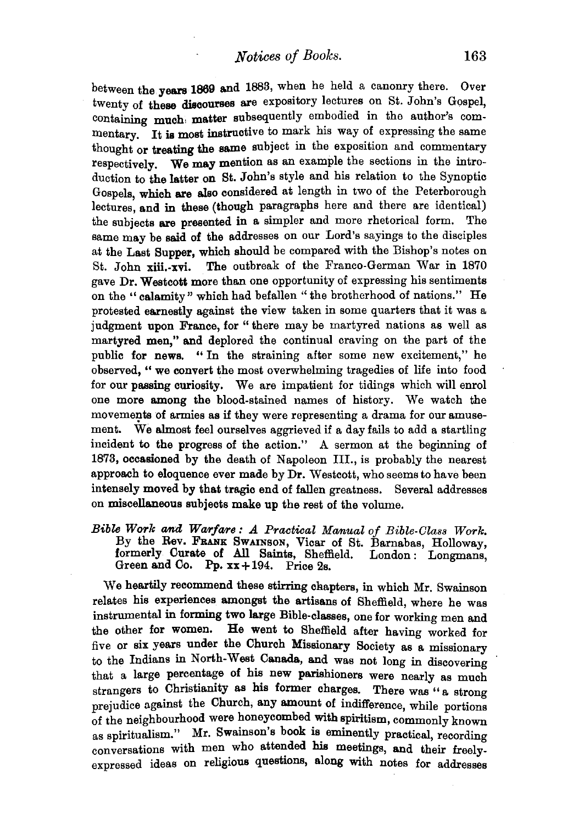*Notices of Books.* 163

between the years 1869 and 1883, when he held a canonry there. Over twenty of these discourses are expository lectures on St. John's Gospel, containing much matter subsequently embodied in the author's commentary. It is most instructive to mark his way of expressing the same thought or treating the same subject in the exposition and commentary respectively. We may mention as an example the sections in the introduction to the latter on St. John's style and his relation to the Synoptic Gospels, which are also considered at length in two of the Peterborough lectures, and in these (though paragraphs here and there are identical) the subjects are presented in a simpler and more rhetorical form. The same may be said of the addresses on our Lord's sayings to the disciples at the Last Supper, which should be compared with the Bishop's notes on St. John xiii.-xvi. The outbreak of the Franco-German War in 1870 gave Dr. Westcott more than one opportunity of expressing his sentiments on the " calamity" which had befallen " the brotherhood of nations." He protested earnestly against the view taken in some quarters that it was a judgment upon France, for "there may be martyred nations as well as martyred men," and deplored the continual craving on the part of the public for news. "In the straining after some new excitement," he observed, "we convert the most overwhelming tragedies of life into food for our passing curiosity. We are impatient for tidings which will enrol one more among the blood-stained names of history. We watch the movements of armies as if they were representing a drama for our amusement. We almost feel ourselves aggrieved if a day fails to add a startling incident to the progress of the action." A sermon at the beginning of 1873, occasioned by the death of Napoleon III., is probably the nearest approach to eloquence ever made by Dr. Westcott, who seems to have been intensely moved by that tragic end of fallen greatness. Several addresses on miscellaneous subjects make up the rest of the volume.

*Bible Work ana Warfare: A Practical Manual of Bible-Class Work.*  By the Rev. FRANK SWAINSON, Vicar of St. Barnabas, Holloway, formerly Curate of All Saints, Sheffield. London : Longmans, Green and Co. Pp.  $xx + 194$ . Price 2s.

We heartily recommend these stirring chapters, in which Mr. Swainson relates his experiences amonget the artisans of Sheffield, where he was instrumental in forming two large Bible-classes, one for working men and<br>the other for women. He went to Sheffield after having worked for He went to Sheffield after having worked for five or six years under the Church Missionary Society as a missionary to the Indians in North-West Canada, and was not long in discovering that a large percentage of his new parishioners were nearly as much strangers to Christianity as his former charges. There was "a strong prejudice against the Church, any amount of indifference, while portions of the neighbourhood were honeycombed with spiritism, commonly known as spiritualism." Mr. Swainson's book is eminently practical, recording conversations with men who attended his meetings, and their freelyexpressed ideas on religious questions, along with notes for addresses